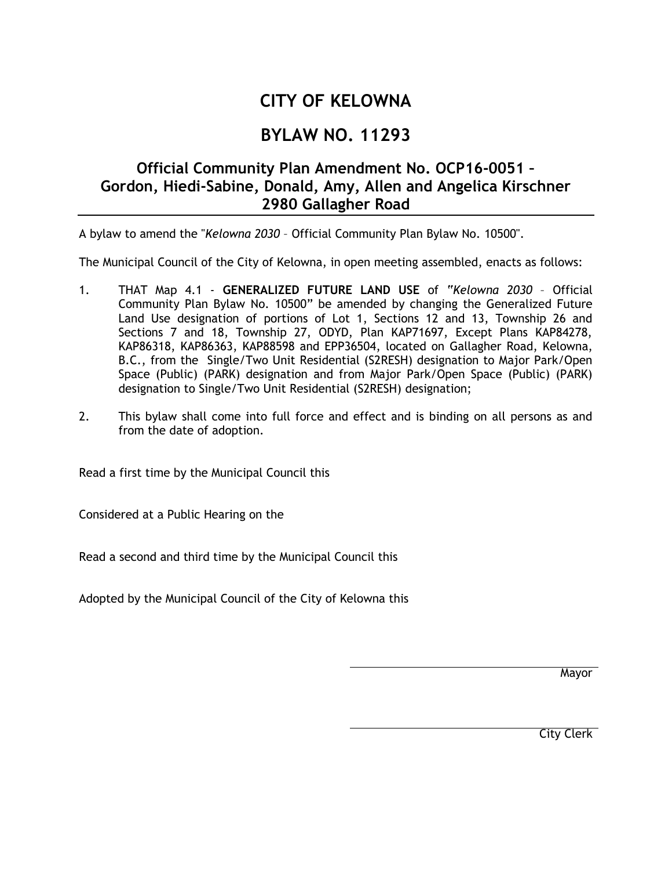## **CITY OF KELOWNA**

## **BYLAW NO. 11293**

## **Official Community Plan Amendment No. OCP16-0051 – Gordon, Hiedi-Sabine, Donald, Amy, Allen and Angelica Kirschner 2980 Gallagher Road**

A bylaw to amend the "*Kelowna 2030* – Official Community Plan Bylaw No. 10500".

The Municipal Council of the City of Kelowna, in open meeting assembled, enacts as follows:

- 1. THAT Map 4.1 **GENERALIZED FUTURE LAND USE** of "*Kelowna 2030* Official Community Plan Bylaw No. 10500" be amended by changing the Generalized Future Land Use designation of portions of Lot 1, Sections 12 and 13, Township 26 and Sections 7 and 18, Township 27, ODYD, Plan KAP71697, Except Plans KAP84278, KAP86318, KAP86363, KAP88598 and EPP36504, located on Gallagher Road, Kelowna, B.C., from the Single/Two Unit Residential (S2RESH) designation to Major Park/Open Space (Public) (PARK) designation and from Major Park/Open Space (Public) (PARK) designation to Single/Two Unit Residential (S2RESH) designation;
- 2. This bylaw shall come into full force and effect and is binding on all persons as and from the date of adoption.

Read a first time by the Municipal Council this

Considered at a Public Hearing on the

Read a second and third time by the Municipal Council this

Adopted by the Municipal Council of the City of Kelowna this

Mayor

City Clerk